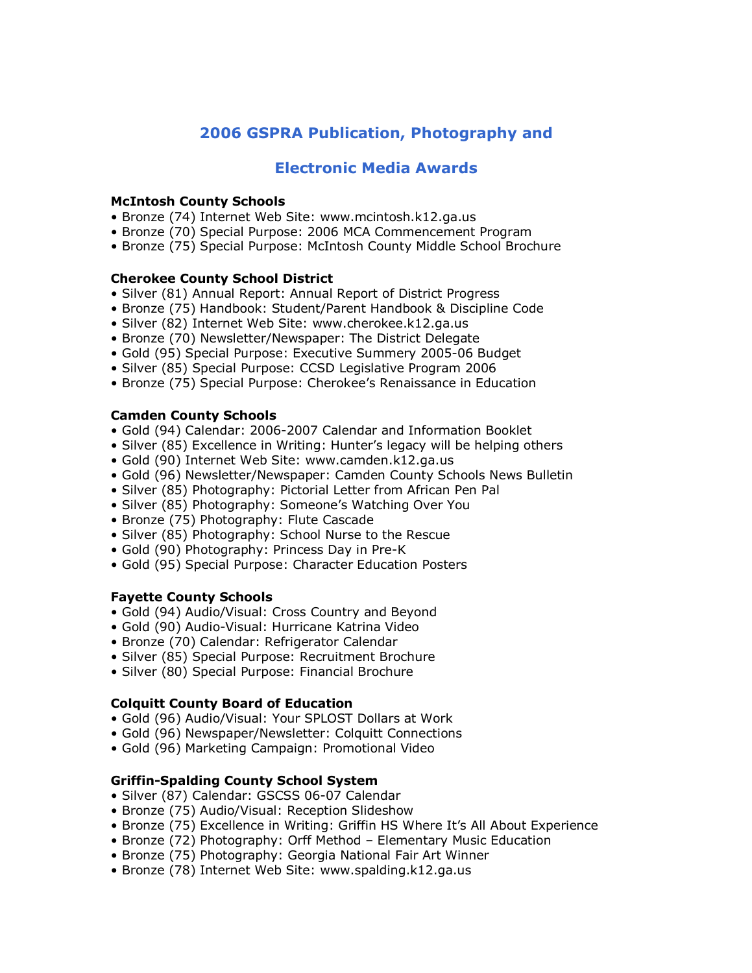# **2006 GSPRA Publication, Photography and**

## **Electronic Media Awards**

#### **McIntosh County Schools**

- Bronze (74) Internet Web Site: www.mcintosh.k12.ga.us
- Bronze (70) Special Purpose: 2006 MCA Commencement Program
- Bronze (75) Special Purpose: McIntosh County Middle School Brochure

#### **Cherokee County School District**

- Silver (81) Annual Report: Annual Report of District Progress
- Bronze (75) Handbook: Student/Parent Handbook & Discipline Code
- Silver (82) Internet Web Site: www.cherokee.k12.ga.us
- Bronze (70) Newsletter/Newspaper: The District Delegate
- Gold (95) Special Purpose: Executive Summery 2005-06 Budget
- Silver (85) Special Purpose: CCSD Legislative Program 2006
- Bronze (75) Special Purpose: Cherokee's Renaissance in Education

#### **Camden County Schools**

- Gold (94) Calendar: 2006-2007 Calendar and Information Booklet
- Silver (85) Excellence in Writing: Hunter's legacy will be helping others
- Gold (90) Internet Web Site: www.camden.k12.ga.us
- Gold (96) Newsletter/Newspaper: Camden County Schools News Bulletin
- Silver (85) Photography: Pictorial Letter from African Pen Pal
- Silver (85) Photography: Someone's Watching Over You
- Bronze (75) Photography: Flute Cascade
- Silver (85) Photography: School Nurse to the Rescue
- Gold (90) Photography: Princess Day in Pre-K
- Gold (95) Special Purpose: Character Education Posters

#### **Fayette County Schools**

- Gold (94) Audio/Visual: Cross Country and Beyond
- Gold (90) Audio-Visual: Hurricane Katrina Video
- Bronze (70) Calendar: Refrigerator Calendar
- Silver (85) Special Purpose: Recruitment Brochure
- Silver (80) Special Purpose: Financial Brochure

#### **Colquitt County Board of Education**

- Gold (96) Audio/Visual: Your SPLOST Dollars at Work
- Gold (96) Newspaper/Newsletter: Colquitt Connections
- Gold (96) Marketing Campaign: Promotional Video

#### **Griffin-Spalding County School System**

- Silver (87) Calendar: GSCSS 06-07 Calendar
- Bronze (75) Audio/Visual: Reception Slideshow
- Bronze (75) Excellence in Writing: Griffin HS Where It's All About Experience
- Bronze (72) Photography: Orff Method Elementary Music Education
- Bronze (75) Photography: Georgia National Fair Art Winner
- Bronze (78) Internet Web Site: www.spalding.k12.ga.us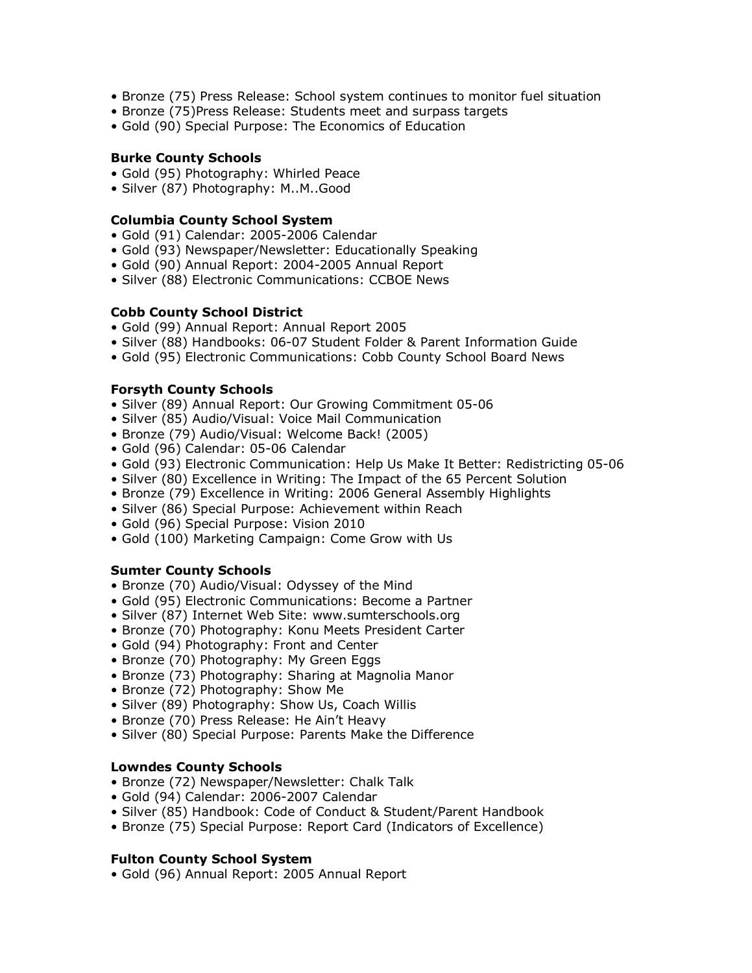- Bronze (75) Press Release: School system continues to monitor fuel situation
- Bronze (75)Press Release: Students meet and surpass targets
- Gold (90) Special Purpose: The Economics of Education

#### **Burke County Schools**

- Gold (95) Photography: Whirled Peace
- Silver (87) Photography: M..M..Good

#### **Columbia County School System**

- Gold (91) Calendar: 2005-2006 Calendar
- Gold (93) Newspaper/Newsletter: Educationally Speaking
- Gold (90) Annual Report: 2004-2005 Annual Report
- Silver (88) Electronic Communications: CCBOE News

#### **Cobb County School District**

- Gold (99) Annual Report: Annual Report 2005
- Silver (88) Handbooks: 06-07 Student Folder & Parent Information Guide
- Gold (95) Electronic Communications: Cobb County School Board News

#### **Forsyth County Schools**

- Silver (89) Annual Report: Our Growing Commitment 05-06
- Silver (85) Audio/Visual: Voice Mail Communication
- Bronze (79) Audio/Visual: Welcome Back! (2005)
- Gold (96) Calendar: 05-06 Calendar
- Gold (93) Electronic Communication: Help Us Make It Better: Redistricting 05-06
- Silver (80) Excellence in Writing: The Impact of the 65 Percent Solution
- Bronze (79) Excellence in Writing: 2006 General Assembly Highlights
- Silver (86) Special Purpose: Achievement within Reach
- Gold (96) Special Purpose: Vision 2010
- Gold (100) Marketing Campaign: Come Grow with Us

#### **Sumter County Schools**

- Bronze (70) Audio/Visual: Odyssey of the Mind
- Gold (95) Electronic Communications: Become a Partner
- Silver (87) Internet Web Site: www.sumterschools.org
- Bronze (70) Photography: Konu Meets President Carter
- Gold (94) Photography: Front and Center
- Bronze (70) Photography: My Green Eggs
- Bronze (73) Photography: Sharing at Magnolia Manor
- Bronze (72) Photography: Show Me
- Silver (89) Photography: Show Us, Coach Willis
- Bronze (70) Press Release: He Ain't Heavy
- Silver (80) Special Purpose: Parents Make the Difference

#### **Lowndes County Schools**

- Bronze (72) Newspaper/Newsletter: Chalk Talk
- Gold (94) Calendar: 2006-2007 Calendar
- Silver (85) Handbook: Code of Conduct & Student/Parent Handbook
- Bronze (75) Special Purpose: Report Card (Indicators of Excellence)

#### **Fulton County School System**

• Gold (96) Annual Report: 2005 Annual Report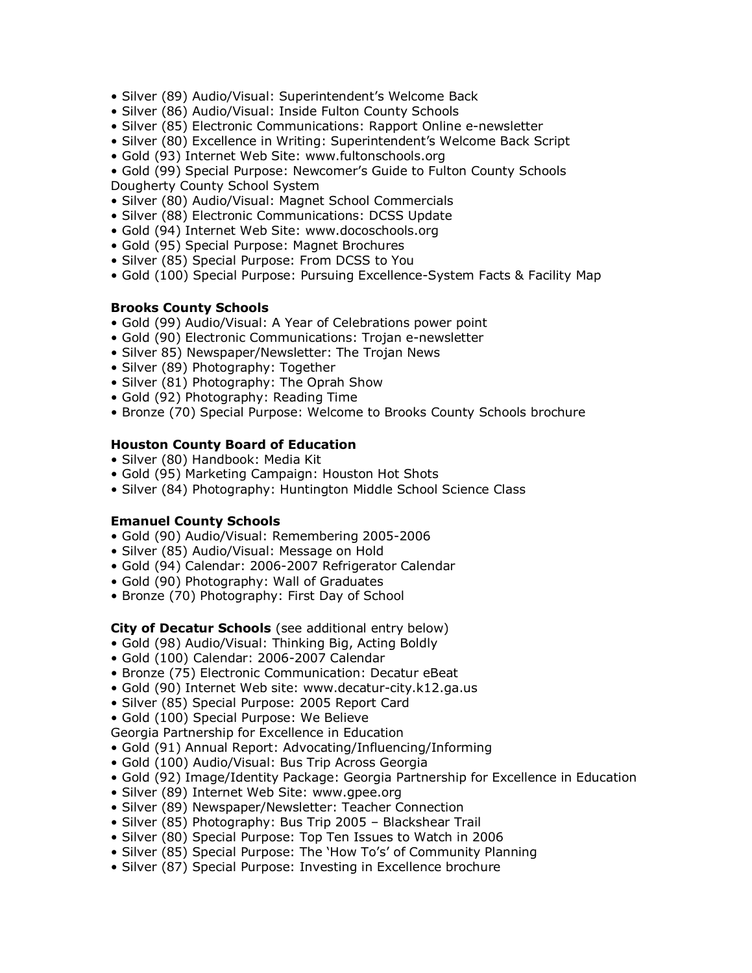- Silver (89) Audio/Visual: Superintendent's Welcome Back
- Silver (86) Audio/Visual: Inside Fulton County Schools
- Silver (85) Electronic Communications: Rapport Online e-newsletter
- Silver (80) Excellence in Writing: Superintendent's Welcome Back Script
- Gold (93) Internet Web Site: www.fultonschools.org

• Gold (99) Special Purpose: Newcomer's Guide to Fulton County Schools Dougherty County School System

- Silver (80) Audio/Visual: Magnet School Commercials
- Silver (88) Electronic Communications: DCSS Update
- Gold (94) Internet Web Site: www.docoschools.org
- Gold (95) Special Purpose: Magnet Brochures
- Silver (85) Special Purpose: From DCSS to You
- Gold (100) Special Purpose: Pursuing Excellence-System Facts & Facility Map

#### **Brooks County Schools**

- Gold (99) Audio/Visual: A Year of Celebrations power point
- Gold (90) Electronic Communications: Trojan e-newsletter
- Silver 85) Newspaper/Newsletter: The Trojan News
- Silver (89) Photography: Together
- Silver (81) Photography: The Oprah Show
- Gold (92) Photography: Reading Time
- Bronze (70) Special Purpose: Welcome to Brooks County Schools brochure

#### **Houston County Board of Education**

- Silver (80) Handbook: Media Kit
- Gold (95) Marketing Campaign: Houston Hot Shots
- Silver (84) Photography: Huntington Middle School Science Class

#### **Emanuel County Schools**

- Gold (90) Audio/Visual: Remembering 2005-2006
- Silver (85) Audio/Visual: Message on Hold
- Gold (94) Calendar: 2006-2007 Refrigerator Calendar
- Gold (90) Photography: Wall of Graduates
- Bronze (70) Photography: First Day of School

## **City of Decatur Schools** (see additional entry below)

- Gold (98) Audio/Visual: Thinking Big, Acting Boldly
- Gold (100) Calendar: 2006-2007 Calendar
- Bronze (75) Electronic Communication: Decatur eBeat
- Gold (90) Internet Web site: www.decatur-city.k12.ga.us
- Silver (85) Special Purpose: 2005 Report Card
- Gold (100) Special Purpose: We Believe

Georgia Partnership for Excellence in Education

- Gold (91) Annual Report: Advocating/Influencing/Informing
- Gold (100) Audio/Visual: Bus Trip Across Georgia
- Gold (92) Image/Identity Package: Georgia Partnership for Excellence in Education
- Silver (89) Internet Web Site: www.gpee.org
- Silver (89) Newspaper/Newsletter: Teacher Connection
- Silver (85) Photography: Bus Trip 2005 Blackshear Trail
- Silver (80) Special Purpose: Top Ten Issues to Watch in 2006
- Silver (85) Special Purpose: The 'How To's' of Community Planning
- Silver (87) Special Purpose: Investing in Excellence brochure